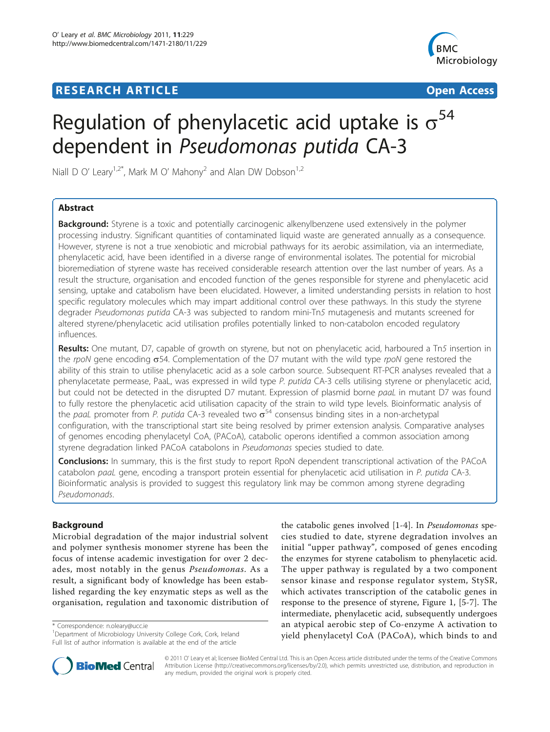## **RESEARCH ARTICLE Example 2018 12:30 THE Open Access**



# Regulation of phenylacetic acid uptake is  $\sigma^{54}$ dependent in Pseudomonas putida CA-3

Niall D O' Leary<sup>1,2\*</sup>, Mark M O' Mahony<sup>2</sup> and Alan DW Dobson<sup>1,2</sup>

## Abstract

**Background:** Styrene is a toxic and potentially carcinogenic alkenylbenzene used extensively in the polymer processing industry. Significant quantities of contaminated liquid waste are generated annually as a consequence. However, styrene is not a true xenobiotic and microbial pathways for its aerobic assimilation, via an intermediate, phenylacetic acid, have been identified in a diverse range of environmental isolates. The potential for microbial bioremediation of styrene waste has received considerable research attention over the last number of years. As a result the structure, organisation and encoded function of the genes responsible for styrene and phenylacetic acid sensing, uptake and catabolism have been elucidated. However, a limited understanding persists in relation to host specific regulatory molecules which may impart additional control over these pathways. In this study the styrene degrader Pseudomonas putida CA-3 was subjected to random mini-Tn5 mutagenesis and mutants screened for altered styrene/phenylacetic acid utilisation profiles potentially linked to non-catabolon encoded regulatory influences.

Results: One mutant, D7, capable of growth on styrene, but not on phenylacetic acid, harboured a Tn5 insertion in the rpoN gene encoding  $\sigma$ 54. Complementation of the D7 mutant with the wild type rpoN gene restored the ability of this strain to utilise phenylacetic acid as a sole carbon source. Subsequent RT-PCR analyses revealed that a phenylacetate permease, PaaL, was expressed in wild type P. putida CA-3 cells utilising styrene or phenylacetic acid, but could not be detected in the disrupted D7 mutant. Expression of plasmid borne paaL in mutant D7 was found to fully restore the phenylacetic acid utilisation capacity of the strain to wild type levels. Bioinformatic analysis of the paal promoter from P. putida CA-3 revealed two  $\sigma^{54}$  consensus binding sites in a non-archetypal configuration, with the transcriptional start site being resolved by primer extension analysis. Comparative analyses of genomes encoding phenylacetyl CoA, (PACoA), catabolic operons identified a common association among styrene degradation linked PACoA catabolons in Pseudomonas species studied to date.

Conclusions: In summary, this is the first study to report RpoN dependent transcriptional activation of the PACoA catabolon paaL gene, encoding a transport protein essential for phenylacetic acid utilisation in P. putida CA-3. Bioinformatic analysis is provided to suggest this regulatory link may be common among styrene degrading Pseudomonads.

## Background

Microbial degradation of the major industrial solvent and polymer synthesis monomer styrene has been the focus of intense academic investigation for over 2 decades, most notably in the genus Pseudomonas. As a result, a significant body of knowledge has been established regarding the key enzymatic steps as well as the organisation, regulation and taxonomic distribution of

\* Correspondence: [n.oleary@ucc.ie](mailto:n.oleary@ucc.ie)

the catabolic genes involved [\[1](#page-9-0)-[4\]](#page-9-0). In Pseudomonas species studied to date, styrene degradation involves an initial "upper pathway", composed of genes encoding the enzymes for styrene catabolism to phenylacetic acid. The upper pathway is regulated by a two component sensor kinase and response regulator system, StySR, which activates transcription of the catabolic genes in response to the presence of styrene, Figure [1](#page-1-0), [\[5-7\]](#page-9-0). The intermediate, phenylacetic acid, subsequently undergoes an atypical aerobic step of Co-enzyme A activation to yield phenylacetyl CoA (PACoA), which binds to and



© 2011 O' Leary et al; licensee BioMed Central Ltd. This is an Open Access article distributed under the terms of the Creative Commons Attribution License [\(http://creativecommons.org/licenses/by/2.0](http://creativecommons.org/licenses/by/2.0)), which permits unrestricted use, distribution, and reproduction in any medium, provided the original work is properly cited.

<sup>&</sup>lt;sup>1</sup>Department of Microbiology University College Cork, Cork, Ireland Full list of author information is available at the end of the article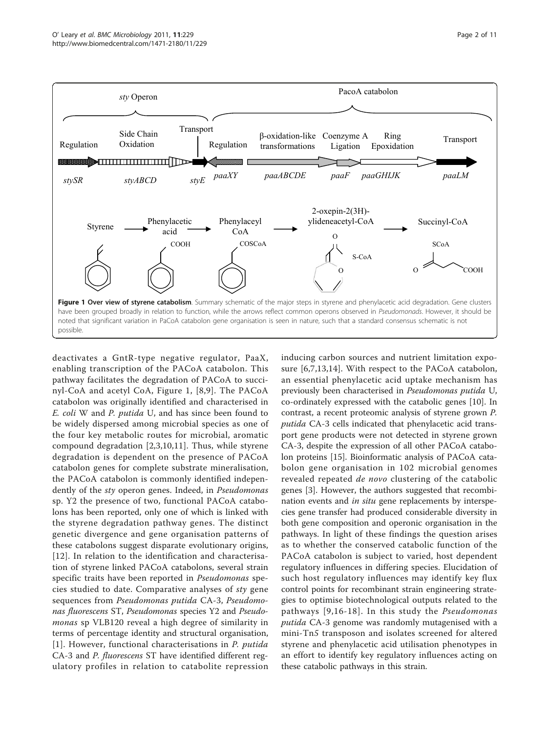<span id="page-1-0"></span>

deactivates a GntR-type negative regulator, PaaX, enabling transcription of the PACoA catabolon. This pathway facilitates the degradation of PACoA to succinyl-CoA and acetyl CoA, Figure 1, [[8,9](#page-9-0)]. The PACoA catabolon was originally identified and characterised in E. coli W and P. putida U, and has since been found to be widely dispersed among microbial species as one of the four key metabolic routes for microbial, aromatic compound degradation [[2,3,10](#page-9-0),[11\]](#page-10-0). Thus, while styrene degradation is dependent on the presence of PACoA catabolon genes for complete substrate mineralisation, the PACoA catabolon is commonly identified independently of the sty operon genes. Indeed, in Pseudomonas sp. Y2 the presence of two, functional PACoA catabolons has been reported, only one of which is linked with the styrene degradation pathway genes. The distinct genetic divergence and gene organisation patterns of these catabolons suggest disparate evolutionary origins, [[12](#page-10-0)]. In relation to the identification and characterisation of styrene linked PACoA catabolons, several strain specific traits have been reported in Pseudomonas species studied to date. Comparative analyses of sty gene sequences from Pseudomonas putida CA-3, Pseudomonas fluorescens ST, Pseudomonas species Y2 and Pseudomonas sp VLB120 reveal a high degree of similarity in terms of percentage identity and structural organisation, [[1](#page-9-0)]. However, functional characterisations in P. putida CA-3 and P. fluorescens ST have identified different regulatory profiles in relation to catabolite repression

inducing carbon sources and nutrient limitation exposure [[6,7](#page-9-0)[,13](#page-10-0),[14\]](#page-10-0). With respect to the PACoA catabolon, an essential phenylacetic acid uptake mechanism has previously been characterised in Pseudomonas putida U, co-ordinately expressed with the catabolic genes [\[10](#page-9-0)]. In contrast, a recent proteomic analysis of styrene grown P. putida CA-3 cells indicated that phenylacetic acid transport gene products were not detected in styrene grown CA-3, despite the expression of all other PACoA catabolon proteins [[15\]](#page-10-0). Bioinformatic analysis of PACoA catabolon gene organisation in 102 microbial genomes revealed repeated de novo clustering of the catabolic genes [[3\]](#page-9-0). However, the authors suggested that recombination events and in situ gene replacements by interspecies gene transfer had produced considerable diversity in both gene composition and operonic organisation in the pathways. In light of these findings the question arises as to whether the conserved catabolic function of the PACoA catabolon is subject to varied, host dependent regulatory influences in differing species. Elucidation of such host regulatory influences may identify key flux control points for recombinant strain engineering strategies to optimise biotechnological outputs related to the pathways [[9](#page-9-0),[16-18](#page-10-0)]. In this study the Pseudomonas putida CA-3 genome was randomly mutagenised with a mini-Tn5 transposon and isolates screened for altered styrene and phenylacetic acid utilisation phenotypes in an effort to identify key regulatory influences acting on these catabolic pathways in this strain.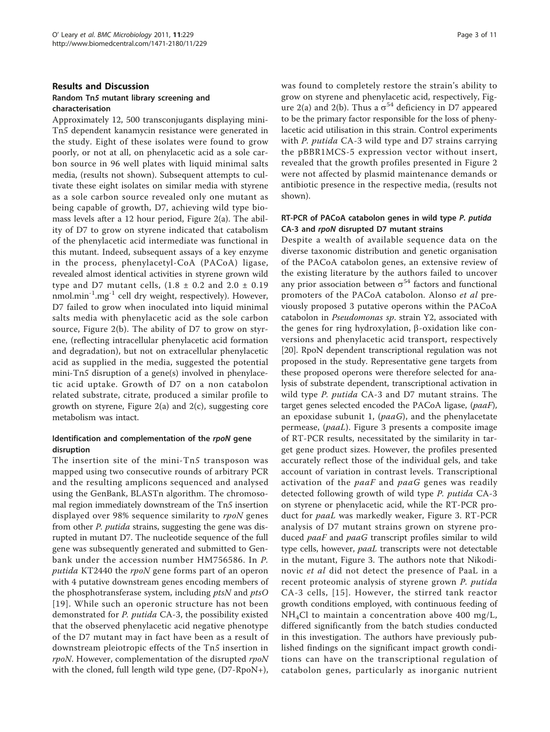#### Results and Discussion Random Tn5 mutant library screening and characterisation

Approximately 12, 500 transconjugants displaying mini-Tn5 dependent kanamycin resistance were generated in the study. Eight of these isolates were found to grow poorly, or not at all, on phenylacetic acid as a sole carbon source in 96 well plates with liquid minimal salts media, (results not shown). Subsequent attempts to cultivate these eight isolates on similar media with styrene as a sole carbon source revealed only one mutant as being capable of growth, D7, achieving wild type biomass levels after a 12 hour period, Figure [2\(a\)](#page-3-0). The ability of D7 to grow on styrene indicated that catabolism of the phenylacetic acid intermediate was functional in this mutant. Indeed, subsequent assays of a key enzyme in the process, phenylacetyl-CoA (PACoA) ligase, revealed almost identical activities in styrene grown wild type and D7 mutant cells,  $(1.8 \pm 0.2 \text{ and } 2.0 \pm 0.19)$  $n_{\text{min}}$ <sup>-1</sup>.mg<sup>-1</sup> cell dry weight, respectively). However, D7 failed to grow when inoculated into liquid minimal salts media with phenylacetic acid as the sole carbon source, Figure [2\(b\)](#page-3-0). The ability of D7 to grow on styrene, (reflecting intracellular phenylacetic acid formation and degradation), but not on extracellular phenylacetic acid as supplied in the media, suggested the potential mini-Tn5 disruption of a gene(s) involved in phenylacetic acid uptake. Growth of D7 on a non catabolon related substrate, citrate, produced a similar profile to growth on styrene, Figure  $2(a)$  and  $2(c)$ , suggesting core metabolism was intact.

## Identification and complementation of the rpoN gene disruption

The insertion site of the mini-Tn5 transposon was mapped using two consecutive rounds of arbitrary PCR and the resulting amplicons sequenced and analysed using the GenBank, BLASTn algorithm. The chromosomal region immediately downstream of the Tn5 insertion displayed over 98% sequence similarity to rpoN genes from other *P. putida* strains, suggesting the gene was disrupted in mutant D7. The nucleotide sequence of the full gene was subsequently generated and submitted to Genbank under the accession number [HM756586](http://www.ncbi.nih.gov/entrez/query.fcgi?db=Nucleotide&cmd=search&term=HM756586). In P. putida KT2440 the rpoN gene forms part of an operon with 4 putative downstream genes encoding members of the phosphotransferase system, including *ptsN* and *ptsO* [[19\]](#page-10-0). While such an operonic structure has not been demonstrated for P. putida CA-3, the possibility existed that the observed phenylacetic acid negative phenotype of the D7 mutant may in fact have been as a result of downstream pleiotropic effects of the Tn5 insertion in rpoN. However, complementation of the disrupted rpoN with the cloned, full length wild type gene, (D7-RpoN+), was found to completely restore the strain's ability to grow on styrene and phenylacetic acid, respectively, Fig-ure [2\(a\)](#page-3-0) and [2\(b\).](#page-3-0) Thus a  $\sigma^{54}$  deficiency in D7 appeared to be the primary factor responsible for the loss of phenylacetic acid utilisation in this strain. Control experiments with P. putida CA-3 wild type and D7 strains carrying the pBBR1MCS-5 expression vector without insert, revealed that the growth profiles presented in Figure [2](#page-3-0) were not affected by plasmid maintenance demands or antibiotic presence in the respective media, (results not shown).

## RT-PCR of PACoA catabolon genes in wild type P. putida CA-3 and rpoN disrupted D7 mutant strains

Despite a wealth of available sequence data on the diverse taxonomic distribution and genetic organisation of the PACoA catabolon genes, an extensive review of the existing literature by the authors failed to uncover any prior association between  $\sigma^{54}$  factors and functional promoters of the PACoA catabolon. Alonso et al previously proposed 3 putative operons within the PACoA catabolon in Pseudomonas sp. strain Y2, associated with the genes for ring hydroxylation,  $\beta$ -oxidation like conversions and phenylacetic acid transport, respectively [[20\]](#page-10-0). RpoN dependent transcriptional regulation was not proposed in the study. Representative gene targets from these proposed operons were therefore selected for analysis of substrate dependent, transcriptional activation in wild type *P. putida* CA-3 and D7 mutant strains. The target genes selected encoded the PACoA ligase, (paaF), an epoxidase subunit 1,  $(paaG)$ , and the phenylacetate permease, (paaL). Figure [3](#page-4-0) presents a composite image of RT-PCR results, necessitated by the similarity in target gene product sizes. However, the profiles presented accurately reflect those of the individual gels, and take account of variation in contrast levels. Transcriptional activation of the  $paaf$  and  $paaf$  genes was readily detected following growth of wild type P. putida CA-3 on styrene or phenylacetic acid, while the RT-PCR product for paaL was markedly weaker, Figure [3.](#page-4-0) RT-PCR analysis of D7 mutant strains grown on styrene produced *paaF* and *paaG* transcript profiles similar to wild type cells, however, paaL transcripts were not detectable in the mutant, Figure [3.](#page-4-0) The authors note that Nikodinovic et al did not detect the presence of PaaL in a recent proteomic analysis of styrene grown P. putida CA-3 cells, [[15\]](#page-10-0). However, the stirred tank reactor growth conditions employed, with continuous feeding of NH4Cl to maintain a concentration above 400 mg/L, differed significantly from the batch studies conducted in this investigation. The authors have previously published findings on the significant impact growth conditions can have on the transcriptional regulation of catabolon genes, particularly as inorganic nutrient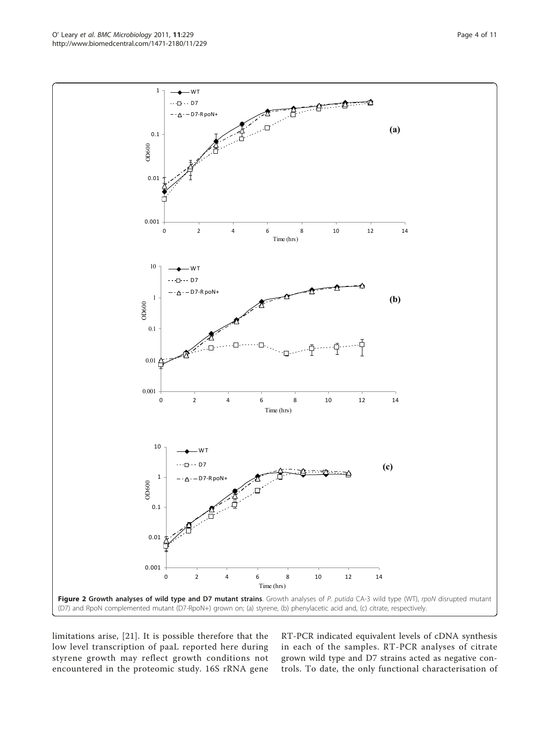limitations arise, [[21\]](#page-10-0). It is possible therefore that the low level transcription of paaL reported here during styrene growth may reflect growth conditions not encountered in the proteomic study. 16S rRNA gene RT-PCR indicated equivalent levels of cDNA synthesis in each of the samples. RT-PCR analyses of citrate grown wild type and D7 strains acted as negative controls. To date, the only functional characterisation of

<span id="page-3-0"></span>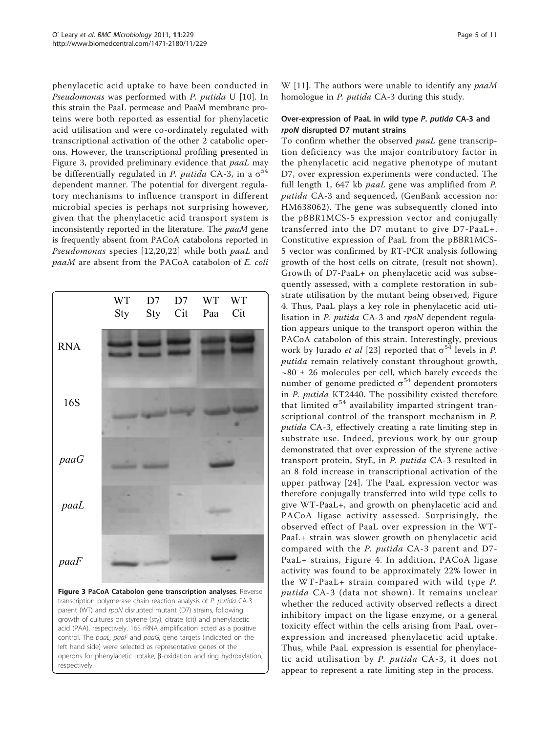<span id="page-4-0"></span>phenylacetic acid uptake to have been conducted in Pseudomonas was performed with P. putida U [\[10\]](#page-9-0). In this strain the PaaL permease and PaaM membrane proteins were both reported as essential for phenylacetic acid utilisation and were co-ordinately regulated with transcriptional activation of the other 2 catabolic operons. However, the transcriptional profiling presented in Figure 3, provided preliminary evidence that *paaL* may be differentially regulated in *P. putida* CA-3, in a  $\sigma^{54}$ dependent manner. The potential for divergent regulatory mechanisms to influence transport in different microbial species is perhaps not surprising however, given that the phenylacetic acid transport system is inconsistently reported in the literature. The paaM gene is frequently absent from PACoA catabolons reported in Pseudomonas species [[12](#page-10-0),[20](#page-10-0),[22](#page-10-0)] while both paaL and paaM are absent from the PACoA catabolon of E. coli



W [\[11](#page-10-0)]. The authors were unable to identify any  $paaM$ homologue in P. putida CA-3 during this study.

#### Over-expression of PaaL in wild type P. putida CA-3 and rpoN disrupted D7 mutant strains

To confirm whether the observed paaL gene transcription deficiency was the major contributory factor in the phenylacetic acid negative phenotype of mutant D7, over expression experiments were conducted. The full length 1, 647 kb paaL gene was amplified from P. putida CA-3 and sequenced, (GenBank accession no: [HM638062](http://www.ncbi.nih.gov/entrez/query.fcgi?db=Nucleotide&cmd=search&term=HM638062)). The gene was subsequently cloned into the pBBR1MCS-5 expression vector and conjugally transferred into the D7 mutant to give D7-PaaL+. Constitutive expression of PaaL from the pBBR1MCS-5 vector was confirmed by RT-PCR analysis following growth of the host cells on citrate, (result not shown). Growth of D7-PaaL+ on phenylacetic acid was subsequently assessed, with a complete restoration in substrate utilisation by the mutant being observed, Figure [4.](#page-5-0) Thus, PaaL plays a key role in phenylacetic acid utilisation in P. putida CA-3 and rpoN dependent regulation appears unique to the transport operon within the PACoA catabolon of this strain. Interestingly, previous work by Jurado et al [\[23](#page-10-0)] reported that  $\sigma^{54}$  levels in P. putida remain relatively constant throughout growth,  $\sim$ 80  $\pm$  26 molecules per cell, which barely exceeds the number of genome predicted  $\sigma^{54}$  dependent promoters in P. putida KT2440. The possibility existed therefore that limited  $\sigma^{54}$  availability imparted stringent transcriptional control of the transport mechanism in P. putida CA-3, effectively creating a rate limiting step in substrate use. Indeed, previous work by our group demonstrated that over expression of the styrene active transport protein, StyE, in P. putida CA-3 resulted in an 8 fold increase in transcriptional activation of the upper pathway [[24](#page-10-0)]. The PaaL expression vector was therefore conjugally transferred into wild type cells to give WT-PaaL+, and growth on phenylacetic acid and PACoA ligase activity assessed. Surprisingly, the observed effect of PaaL over expression in the WT-PaaL+ strain was slower growth on phenylacetic acid compared with the P. putida CA-3 parent and D7- PaaL+ strains, Figure [4.](#page-5-0) In addition, PACoA ligase activity was found to be approximately 22% lower in the WT-PaaL+ strain compared with wild type P. putida CA-3 (data not shown). It remains unclear whether the reduced activity observed reflects a direct inhibitory impact on the ligase enzyme, or a general toxicity effect within the cells arising from PaaL overexpression and increased phenylacetic acid uptake. Thus, while PaaL expression is essential for phenylacetic acid utilisation by P. putida CA-3, it does not appear to represent a rate limiting step in the process.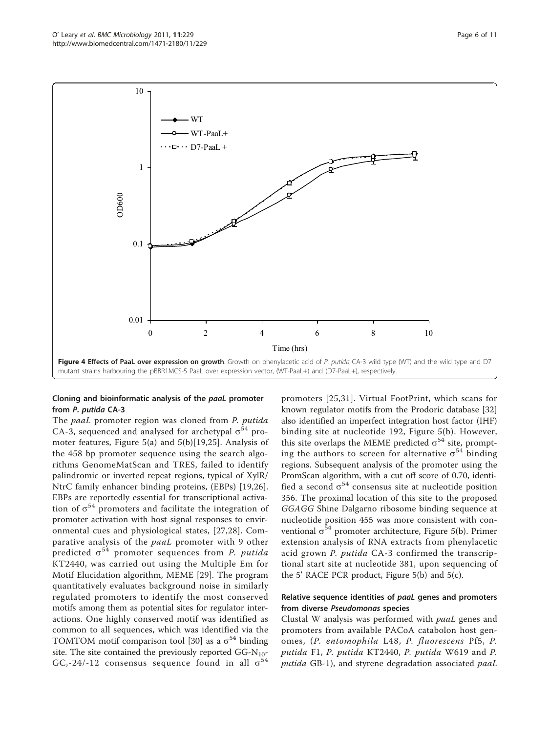<span id="page-5-0"></span>

#### Cloning and bioinformatic analysis of the paaL promoter from P. putida CA-3

The paaL promoter region was cloned from P. putida CA-3, sequenced and analysed for archetypal  $\sigma^{54}$  promoter features, Figure [5\(a\)](#page-6-0) and [5\(b\)](#page-6-0)[[19,25](#page-10-0)]. Analysis of the 458 bp promoter sequence using the search algorithms GenomeMatScan and TRES, failed to identify palindromic or inverted repeat regions, typical of XylR/ NtrC family enhancer binding proteins, (EBPs) [[19,26](#page-10-0)]. EBPs are reportedly essential for transcriptional activation of  $\sigma^{54}$  promoters and facilitate the integration of promoter activation with host signal responses to environmental cues and physiological states, [\[27,28](#page-10-0)]. Comparative analysis of the paaL promoter with 9 other predicted  $\sigma^{54}$  promoter sequences from *P. putida* KT2440, was carried out using the Multiple Em for Motif Elucidation algorithm, MEME [\[29](#page-10-0)]. The program quantitatively evaluates background noise in similarly regulated promoters to identify the most conserved motifs among them as potential sites for regulator interactions. One highly conserved motif was identified as common to all sequences, which was identified via the TOMTOM motif comparison tool [[30\]](#page-10-0) as a  $\sigma^{54}$  binding site. The site contained the previously reported  $GG-N_{10}$ -GC,-24/-12 consensus sequence found in all  $\sigma^{54}$ 

promoters [\[25,31\]](#page-10-0). Virtual FootPrint, which scans for known regulator motifs from the Prodoric database [[32](#page-10-0)] also identified an imperfect integration host factor (IHF) binding site at nucleotide 192, Figure [5\(b\).](#page-6-0) However, this site overlaps the MEME predicted  $\sigma^{54}$  site, prompting the authors to screen for alternative  $\sigma^{54}$  binding regions. Subsequent analysis of the promoter using the PromScan algorithm, with a cut off score of 0.70, identified a second  $\sigma^{54}$  consensus site at nucleotide position 356. The proximal location of this site to the proposed GGAGG Shine Dalgarno ribosome binding sequence at nucleotide position 455 was more consistent with conventional  $\sigma^{54}$  promoter architecture, Figure [5\(b\).](#page-6-0) Primer extension analysis of RNA extracts from phenylacetic acid grown P. putida CA-3 confirmed the transcriptional start site at nucleotide 381, upon sequencing of the 5' RACE PCR product, Figure [5\(b\)](#page-6-0) and [5\(c\).](#page-6-0)

#### Relative sequence identities of paaL genes and promoters from diverse Pseudomonas species

Clustal W analysis was performed with paaL genes and promoters from available PACoA catabolon host genomes, (P. entomophila L48, P. fluorescens Pf5, P. putida F1, P. putida KT2440, P. putida W619 and P. putida GB-1), and styrene degradation associated paaL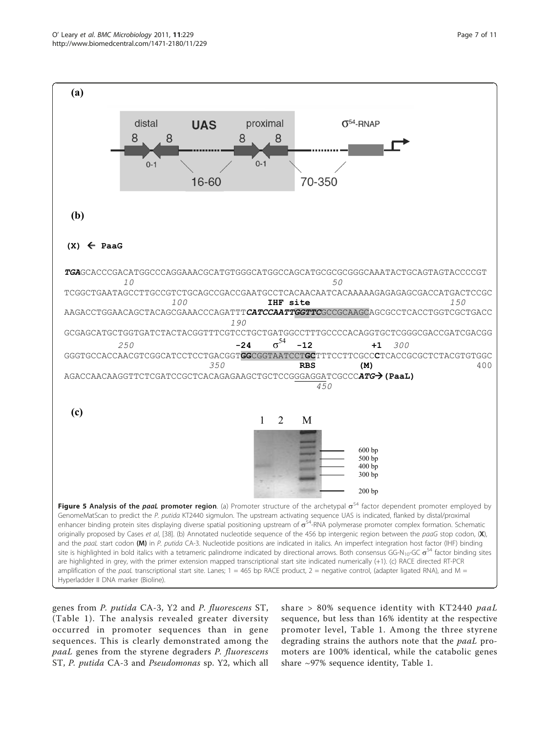<span id="page-6-0"></span>

genes from P. putida CA-3, Y2 and P. fluorescens ST, (Table [1\)](#page-7-0). The analysis revealed greater diversity occurred in promoter sequences than in gene sequences. This is clearly demonstrated among the paaL genes from the styrene degraders P. fluorescens ST, P. putida CA-3 and Pseudomonas sp. Y2, which all

share > 80% sequence identity with KT2440 paaL sequence, but less than 16% identity at the respective promoter level, Table [1](#page-7-0). Among the three styrene degrading strains the authors note that the paaL promoters are 100% identical, while the catabolic genes share ~97% sequence identity, Table [1.](#page-7-0)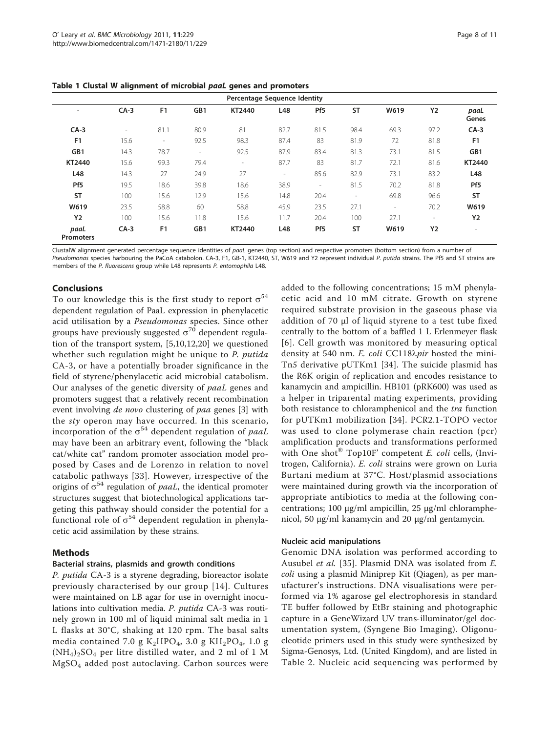| Percentage Sequence Identity |                          |                          |        |                          |                          |                 |                          |                          |                          |                          |
|------------------------------|--------------------------|--------------------------|--------|--------------------------|--------------------------|-----------------|--------------------------|--------------------------|--------------------------|--------------------------|
| $\overline{\phantom{a}}$     | $CA-3$                   | F <sub>1</sub>           | GB1    | KT2440                   | L48                      | Pf <sub>5</sub> | <b>ST</b>                | W619                     | <b>Y2</b>                | paaL<br>Genes            |
| $CA-3$                       | $\overline{\phantom{a}}$ | 81.1                     | 80.9   | 81                       | 82.7                     | 81.5            | 98.4                     | 69.3                     | 97.2                     | $CA-3$                   |
| F <sub>1</sub>               | 15.6                     | $\overline{\phantom{a}}$ | 92.5   | 98.3                     | 87.4                     | 83              | 81.9                     | 72                       | 81.8                     | F <sub>1</sub>           |
| GB1                          | 14.3                     | 78.7                     | $\sim$ | 92.5                     | 87.9                     | 83.4            | 81.3                     | 73.1                     | 81.5                     | GB1                      |
| KT2440                       | 15.6                     | 99.3                     | 79.4   | $\overline{\phantom{a}}$ | 87.7                     | 83              | 81.7                     | 72.1                     | 81.6                     | KT2440                   |
| L48                          | 14.3                     | 27                       | 24.9   | 27                       | $\overline{\phantom{a}}$ | 85.6            | 82.9                     | 73.1                     | 83.2                     | L48                      |
| Pf <sub>5</sub>              | 19.5                     | 18.6                     | 39.8   | 18.6                     | 38.9                     | $\overline{a}$  | 81.5                     | 70.2                     | 81.8                     | Pf <sub>5</sub>          |
| <b>ST</b>                    | 100                      | 15.6                     | 12.9   | 15.6                     | 14.8                     | 20.4            | $\overline{\phantom{a}}$ | 69.8                     | 96.6                     | <b>ST</b>                |
| W619                         | 23.5                     | 58.8                     | 60     | 58.8                     | 45.9                     | 23.5            | 27.1                     | $\overline{\phantom{a}}$ | 70.2                     | W619                     |
| <b>Y2</b>                    | 100                      | 15.6                     | 11.8   | 15.6                     | 11.7                     | 20.4            | 100                      | 27.1                     | $\overline{\phantom{a}}$ | <b>Y2</b>                |
| paaL<br><b>Promoters</b>     | $CA-3$                   | F <sub>1</sub>           | GB1    | KT2440                   | L48                      | Pf <sub>5</sub> | <b>ST</b>                | W619                     | <b>Y2</b>                | $\overline{\phantom{a}}$ |

<span id="page-7-0"></span>Table 1 Clustal W alignment of microbial paaL genes and promoters

ClustalW alignment generated percentage sequence identities of paaL genes (top section) and respective promoters (bottom section) from a number of Pseudomonas species harbouring the PaCoA catabolon. CA-3, F1, GB-1, KT2440, ST, W619 and Y2 represent individual P. putida strains. The Pf5 and ST strains are members of the P. fluorescens group while L48 represents P. entomophila L48.

## Conclusions

To our knowledge this is the first study to report  $\sigma^{54}$ dependent regulation of PaaL expression in phenylacetic acid utilisation by a Pseudomonas species. Since other groups have previously suggested  $\sigma^{70}$  dependent regulation of the transport system, [[5,10](#page-9-0)[,12,20](#page-10-0)] we questioned whether such regulation might be unique to P. putida CA-3, or have a potentially broader significance in the field of styrene/phenylacetic acid microbial catabolism. Our analyses of the genetic diversity of paaL genes and promoters suggest that a relatively recent recombination event involving de novo clustering of paa genes [\[3](#page-9-0)] with the sty operon may have occurred. In this scenario, incorporation of the  $\sigma^{54}$  dependent regulation of *paaL* may have been an arbitrary event, following the "black cat/white cat" random promoter association model proposed by Cases and de Lorenzo in relation to novel catabolic pathways [[33\]](#page-10-0). However, irrespective of the origins of  $\sigma^{54}$  regulation of *paaL*, the identical promoter structures suggest that biotechnological applications targeting this pathway should consider the potential for a functional role of  $\sigma^{54}$  dependent regulation in phenylacetic acid assimilation by these strains.

#### Methods

#### Bacterial strains, plasmids and growth conditions

P. putida CA-3 is a styrene degrading, bioreactor isolate previously characterised by our group [[14\]](#page-10-0). Cultures were maintained on LB agar for use in overnight inoculations into cultivation media. P. putida CA-3 was routinely grown in 100 ml of liquid minimal salt media in 1 L flasks at 30°C, shaking at 120 rpm. The basal salts media contained 7.0 g  $K_2HPO_4$ , 3.0 g  $KH_2PO_4$ , 1.0 g  $(NH_4)_2SO_4$  per litre distilled water, and 2 ml of 1 M MgSO4 added post autoclaving. Carbon sources were added to the following concentrations; 15 mM phenylacetic acid and 10 mM citrate. Growth on styrene required substrate provision in the gaseous phase via addition of 70 μl of liquid styrene to a test tube fixed centrally to the bottom of a baffled 1 L Erlenmeyer flask [[6](#page-9-0)]. Cell growth was monitored by measuring optical density at 540 nm. E. coli CC118 $\lambda$ pir hosted the mini-Tn5 derivative pUTKm1 [[34](#page-10-0)]. The suicide plasmid has the R6K origin of replication and encodes resistance to kanamycin and ampicillin. HB101 (pRK600) was used as a helper in triparental mating experiments, providing both resistance to chloramphenicol and the *tra* function for pUTKm1 mobilization [[34](#page-10-0)]. PCR2.1-TOPO vector was used to clone polymerase chain reaction (pcr) amplification products and transformations performed with One shot $^{\circledR}$  Top10F' competent *E. coli* cells, (Invitrogen, California). E. coli strains were grown on Luria Burtani medium at 37°C. Host/plasmid associations were maintained during growth via the incorporation of appropriate antibiotics to media at the following concentrations; 100 μg/ml ampicillin, 25 μg/ml chloramphenicol, 50 μg/ml kanamycin and 20 μg/ml gentamycin.

#### Nucleic acid manipulations

Genomic DNA isolation was performed according to Ausubel et al. [[35](#page-10-0)]. Plasmid DNA was isolated from E. coli using a plasmid Miniprep Kit (Qiagen), as per manufacturer's instructions. DNA visualisations were performed via 1% agarose gel electrophoresis in standard TE buffer followed by EtBr staining and photographic capture in a GeneWizard UV trans-illuminator/gel documentation system, (Syngene Bio Imaging). Oligonucleotide primers used in this study were synthesized by Sigma-Genosys, Ltd. (United Kingdom), and are listed in Table [2.](#page-8-0) Nucleic acid sequencing was performed by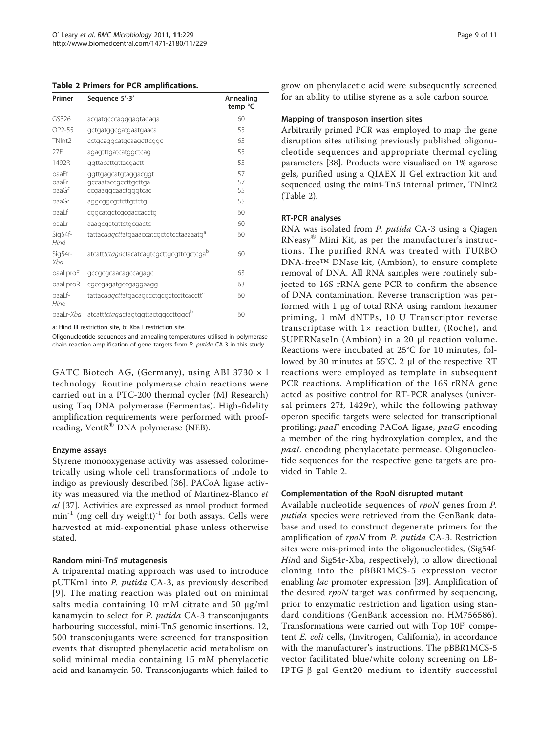<span id="page-8-0"></span>

| Primer                  | Sequence 5'-3'                                                      | Annealing<br>temp °C |
|-------------------------|---------------------------------------------------------------------|----------------------|
| GS326                   | acgatgcccagggagtagaga                                               | 60                   |
| OP2-55                  | gctgatggcgatgaatgaaca                                               | 55                   |
| TNInt2                  | cctgcaggcatgcaagcttcggc                                             | 65                   |
| 27F                     | agagtttgatcatggctcag                                                | 55                   |
| 1492R                   | ggttaccttgttacgactt                                                 | 55                   |
| paaFf<br>paaFr<br>paaGf | ggttgagcatgtaggacggt<br>gccaataccgccttgcttga<br>ccgaaggcaactgggtcac | 57<br>57<br>55       |
| paaGr                   | aggcggcgttcttgttctg                                                 | 55                   |
| paaLf                   | cggcatgctcgcgaccacctg                                               | 60                   |
| paaLr                   | aaagcgatgttctgcgactc                                                | 60                   |
| Sig54f-<br>Hind         | tattacaagcttatgaaaccatcgctgtcctaaaaatgd                             | 60                   |
| Sig54r-<br>Xba          | atcatttctagactacatcagtcgcttgcgttcgctcga <sup>b</sup>                | 60                   |
| paaLproF                | gccgcgcaacagccagagc                                                 | 63                   |
| paaLproR                | cgccgagatgccgaggaagg                                                | 63                   |
| paaLf-<br>Hind          | tattacaagcttatgacagccctgcgctccttcacctt <sup>a</sup>                 | 60                   |
| paaLr- <i>Xba</i>       | atcatttctagactagtggttactggccttggctb                                 | 60                   |

a: Hind III restriction site, b: Xba I restriction site.

Oligonucleotide sequences and annealing temperatures utilised in polymerase chain reaction amplification of gene targets from P. putida CA-3 in this study.

GATC Biotech AG, (Germany), using ABI 3730 × l technology. Routine polymerase chain reactions were carried out in a PTC-200 thermal cycler (MJ Research) using Taq DNA polymerase (Fermentas). High-fidelity amplification requirements were performed with proofreading, VentR<sup>®</sup> DNA polymerase (NEB).

#### Enzyme assays

Styrene monooxygenase activity was assessed colorimetrically using whole cell transformations of indole to indigo as previously described [\[36](#page-10-0)]. PACoA ligase activity was measured via the method of Martinez-Blanco et al [\[37\]](#page-10-0). Activities are expressed as nmol product formed  $min^{-1}$  (mg cell dry weight)<sup>-1</sup> for both assays. Cells were harvested at mid-exponential phase unless otherwise stated.

## Random mini-Tn5 mutagenesis

A triparental mating approach was used to introduce pUTKm1 into P. putida CA-3, as previously described [[9\]](#page-9-0). The mating reaction was plated out on minimal salts media containing 10 mM citrate and 50 μg/ml kanamycin to select for P. putida CA-3 transconjugants harbouring successful, mini-Tn5 genomic insertions. 12, 500 transconjugants were screened for transposition events that disrupted phenylacetic acid metabolism on solid minimal media containing 15 mM phenylacetic acid and kanamycin 50. Transconjugants which failed to

grow on phenylacetic acid were subsequently screened for an ability to utilise styrene as a sole carbon source.

#### Mapping of transposon insertion sites

Arbitrarily primed PCR was employed to map the gene disruption sites utilising previously published oligonucleotide sequences and appropriate thermal cycling parameters [\[38](#page-10-0)]. Products were visualised on 1% agarose gels, purified using a QIAEX II Gel extraction kit and sequenced using the mini-Tn5 internal primer, TNInt2 (Table 2).

## RT-PCR analyses

RNA was isolated from P. putida CA-3 using a Qiagen RNeasy® Mini Kit, as per the manufacturer's instructions. The purified RNA was treated with TURBO DNA-free™ DNase kit, (Ambion), to ensure complete removal of DNA. All RNA samples were routinely subjected to 16S rRNA gene PCR to confirm the absence of DNA contamination. Reverse transcription was performed with 1 μg of total RNA using random hexamer priming, 1 mM dNTPs, 10 U Transcriptor reverse transcriptase with  $1 \times$  reaction buffer, (Roche), and SUPERNaseIn (Ambion) in a 20 μl reaction volume. Reactions were incubated at 25°C for 10 minutes, followed by 30 minutes at 55°C. 2 μl of the respective RT reactions were employed as template in subsequent PCR reactions. Amplification of the 16S rRNA gene acted as positive control for RT-PCR analyses (universal primers 27f, 1429r), while the following pathway operon specific targets were selected for transcriptional profiling; paaF encoding PACoA ligase, paaG encoding a member of the ring hydroxylation complex, and the paaL encoding phenylacetate permease. Oligonucleotide sequences for the respective gene targets are provided in Table 2.

## Complementation of the RpoN disrupted mutant

Available nucleotide sequences of rpoN genes from P. putida species were retrieved from the GenBank database and used to construct degenerate primers for the amplification of rpoN from P. putida CA-3. Restriction sites were mis-primed into the oligonucleotides, (Sig54f-Hind and Sig54r-Xba, respectively), to allow directional cloning into the pBBR1MCS-5 expression vector enabling *lac* promoter expression [[39\]](#page-10-0). Amplification of the desired rpoN target was confirmed by sequencing, prior to enzymatic restriction and ligation using standard conditions (GenBank accession no. [HM756586\)](http://www.ncbi.nih.gov/entrez/query.fcgi?db=Nucleotide&cmd=search&term=HM756586). Transformations were carried out with Top 10F' competent E. coli cells, (Invitrogen, California), in accordance with the manufacturer's instructions. The pBBR1MCS-5 vector facilitated blue/white colony screening on LB-IPTG- $\beta$ -gal-Gent20 medium to identify successful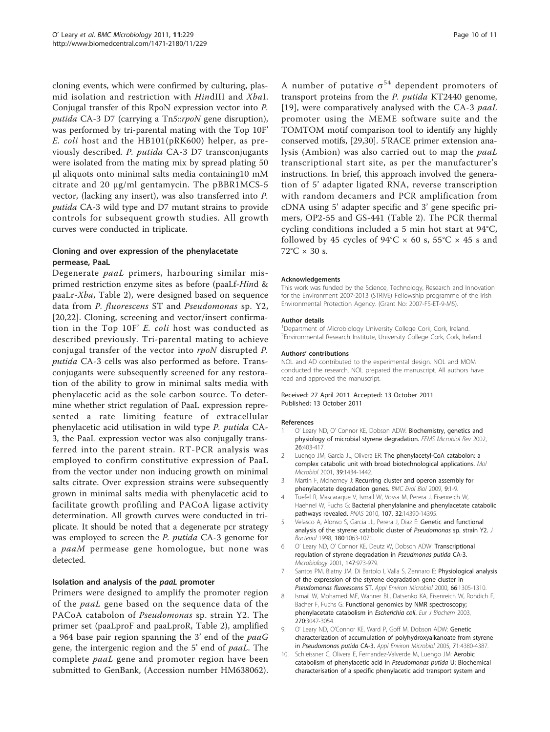<span id="page-9-0"></span>cloning events, which were confirmed by culturing, plasmid isolation and restriction with HindIII and XbaI. Conjugal transfer of this RpoN expression vector into P. putida CA-3 D7 (carrying a Tn5::rpoN gene disruption), was performed by tri-parental mating with the Top 10F' E. coli host and the HB101(pRK600) helper, as previously described. P. putida CA-3 D7 transconjugants were isolated from the mating mix by spread plating 50 μl aliquots onto minimal salts media containing10 mM citrate and 20 μg/ml gentamycin. The pBBR1MCS-5 vector, (lacking any insert), was also transferred into P. putida CA-3 wild type and D7 mutant strains to provide controls for subsequent growth studies. All growth curves were conducted in triplicate.

#### Cloning and over expression of the phenylacetate permease, PaaL

Degenerate paaL primers, harbouring similar misprimed restriction enzyme sites as before (paaLf-Hind & paaLr-Xba, Table [2\)](#page-8-0), were designed based on sequence data from P. fluorescens ST and Pseudomonas sp. Y2, [[20,22](#page-10-0)]. Cloning, screening and vector/insert confirmation in the Top 10F' E. coli host was conducted as described previously. Tri-parental mating to achieve conjugal transfer of the vector into rpoN disrupted P. putida CA-3 cells was also performed as before. Transconjugants were subsequently screened for any restoration of the ability to grow in minimal salts media with phenylacetic acid as the sole carbon source. To determine whether strict regulation of PaaL expression represented a rate limiting feature of extracellular phenylacetic acid utilisation in wild type P. putida CA-3, the PaaL expression vector was also conjugally transferred into the parent strain. RT-PCR analysis was employed to confirm constitutive expression of PaaL from the vector under non inducing growth on minimal salts citrate. Over expression strains were subsequently grown in minimal salts media with phenylacetic acid to facilitate growth profiling and PACoA ligase activity determination. All growth curves were conducted in triplicate. It should be noted that a degenerate pcr strategy was employed to screen the P. putida CA-3 genome for a paaM permease gene homologue, but none was detected.

#### Isolation and analysis of the paaL promoter

Primers were designed to amplify the promoter region of the paaL gene based on the sequence data of the PACoA catabolon of Pseudomonas sp. strain Y2. The primer set (paaLproF and paaLproR, Table [2\)](#page-8-0), amplified a 964 base pair region spanning the 3' end of the paaG gene, the intergenic region and the 5' end of paaL. The complete paaL gene and promoter region have been submitted to GenBank, (Accession number [HM638062](http://www.ncbi.nih.gov/entrez/query.fcgi?db=Nucleotide&cmd=search&term=HM638062)).

A number of putative  $\sigma^{54}$  dependent promoters of transport proteins from the P. putida KT2440 genome, [[19](#page-10-0)], were comparatively analysed with the CA-3 paaL promoter using the MEME software suite and the TOMTOM motif comparison tool to identify any highly conserved motifs, [[29](#page-10-0),[30](#page-10-0)]. 5'RACE primer extension analysis (Ambion) was also carried out to map the paaL transcriptional start site, as per the manufacturer's instructions. In brief, this approach involved the generation of 5' adapter ligated RNA, reverse transcription with random decamers and PCR amplification from cDNA using 5' adapter specific and 3' gene specific primers, OP2-55 and GS-441 (Table [2](#page-8-0)). The PCR thermal cycling conditions included a 5 min hot start at 94°C, followed by 45 cycles of  $94^{\circ}C \times 60$  s,  $55^{\circ}C \times 45$  s and  $72^{\circ}$ C  $\times$  30 s.

#### Acknowledgements

This work was funded by the Science, Technology, Research and Innovation for the Environment 2007-2013 (STRIVE) Fellowship programme of the Irish Environmental Protection Agency. (Grant No: 2007-FS-ET-9-M5).

#### Author details

<sup>1</sup>Department of Microbiology University College Cork, Cork, Ireland. <sup>2</sup> Environmental Research Institute, University College Cork, Cork, Ireland

#### Authors' contributions

NOL and AD contributed to the experimental design. NOL and MOM conducted the research. NOL prepared the manuscript. All authors have read and approved the manuscript.

#### Received: 27 April 2011 Accepted: 13 October 2011 Published: 13 October 2011

#### References

- O' Leary ND, O' Connor KE, Dobson ADW: [Biochemistry, genetics and](http://www.ncbi.nlm.nih.gov/pubmed/12413667?dopt=Abstract) [physiology of microbial styrene degradation.](http://www.ncbi.nlm.nih.gov/pubmed/12413667?dopt=Abstract) FEMS Microbiol Rev 2002, 26:403-417.
- 2. Luengo JM, Garcia JL, Olivera ER: [The phenylacetyl-CoA catabolon: a](http://www.ncbi.nlm.nih.gov/pubmed/11260461?dopt=Abstract) [complex catabolic unit with broad biotechnological applications.](http://www.ncbi.nlm.nih.gov/pubmed/11260461?dopt=Abstract) Mol Microbiol 2001, 39:1434-1442.
- Martin F, McInerney J: [Recurring cluster and operon assembly for](http://www.ncbi.nlm.nih.gov/pubmed/19121213?dopt=Abstract) [phenylacetate degradation genes.](http://www.ncbi.nlm.nih.gov/pubmed/19121213?dopt=Abstract) BMC Evol Biol 2009, 9:1-9.
- 4. Tuefel R, Mascaraque V, Ismail W, Vossa M, Perera J, Eisenreich W, Haehnel W, Fuchs G: Bacterial phenylalanine and phenylacetate catabolic pathways revealed. PNAS 2010, 107, 32:14390-14395.
- 5. Velasco A, Alonso S, Garcia JL, Perera J, Diaz E: [Genetic and functional](http://www.ncbi.nlm.nih.gov/pubmed/9495743?dopt=Abstract) [analysis of the styrene catabolic cluster of](http://www.ncbi.nlm.nih.gov/pubmed/9495743?dopt=Abstract) Pseudomonas sp. strain Y2. J Bacteriol 1998, 180:1063-1071.
- 6. O' Leary ND, O' Connor KE, Deutz W, Dobson ADW: [Transcriptional](http://www.ncbi.nlm.nih.gov/pubmed/11283293?dopt=Abstract) [regulation of styrene degradation in](http://www.ncbi.nlm.nih.gov/pubmed/11283293?dopt=Abstract) Pseudmonas putida CA-3. Microbiology 2001, 147:973-979.
- 7. Santos PM, Blatny JM, Di Bartolo I, Valla S, Zennaro E: [Physiological analysis](http://www.ncbi.nlm.nih.gov/pubmed/10742204?dopt=Abstract) [of the expression of the styrene degradation gene cluster in](http://www.ncbi.nlm.nih.gov/pubmed/10742204?dopt=Abstract) [Pseudomonas fluorescens](http://www.ncbi.nlm.nih.gov/pubmed/10742204?dopt=Abstract) ST. Appl Environ Microbiol 2000, 66:1305-1310.
- 8. Ismail W, Mohamed ME, Wanner BL, Datsenko KA, Eisenreich W, Rohdich F, Bacher F, Fuchs G: [Functional genomics by NMR spectroscopy;](http://www.ncbi.nlm.nih.gov/pubmed/12846838?dopt=Abstract) [phenylacetate catabolism in](http://www.ncbi.nlm.nih.gov/pubmed/12846838?dopt=Abstract) Escherichia coli. Eur J Biochem 2003, 270:3047-3054.
- O' Leary ND, O'Connor KE, Ward P, Goff M, Dobson ADW: [Genetic](http://www.ncbi.nlm.nih.gov/pubmed/16085828?dopt=Abstract) [characterization of accumulation of polyhydroxyalkanoate from styrene](http://www.ncbi.nlm.nih.gov/pubmed/16085828?dopt=Abstract) in [Pseudomonas putida](http://www.ncbi.nlm.nih.gov/pubmed/16085828?dopt=Abstract) CA-3. Appl Environ Microbiol 2005, 71:4380-4387.
- 10. Schleissner C, Olivera E, Fernandez-Valverde M, Luengo JM: [Aerobic](http://www.ncbi.nlm.nih.gov/pubmed/8002592?dopt=Abstract) [catabolism of phenylacetic acid in](http://www.ncbi.nlm.nih.gov/pubmed/8002592?dopt=Abstract) Pseudomonas putida U: Biochemical [characterisation of a specific phenylacetic acid transport system and](http://www.ncbi.nlm.nih.gov/pubmed/8002592?dopt=Abstract)